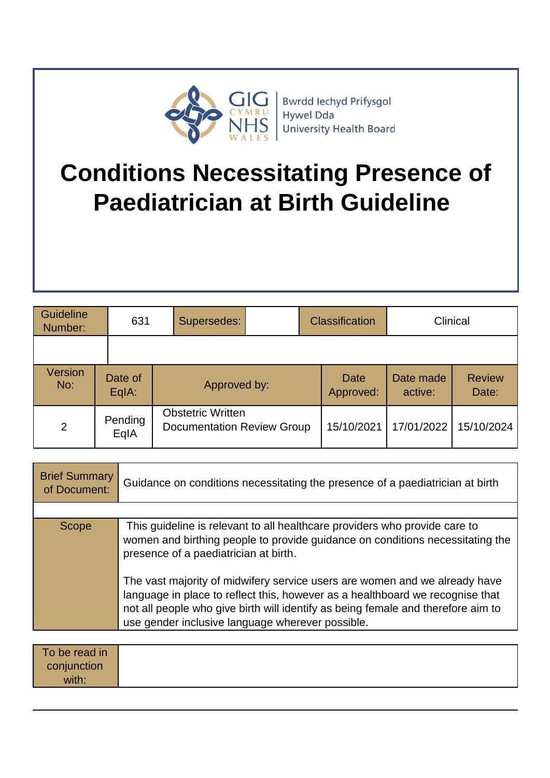

# **Conditions Necessitating Presence of Paediatrician at Birth Guideline**

| Guideline<br>Number:  |  | 631                | Supersedes:                                                   | <b>Classification</b> |                          | Clinical             |                        |
|-----------------------|--|--------------------|---------------------------------------------------------------|-----------------------|--------------------------|----------------------|------------------------|
|                       |  |                    |                                                               |                       |                          |                      |                        |
| <b>Version</b><br>No: |  | Date of<br>$EqA$ : | Approved by:                                                  |                       | <b>Date</b><br>Approved: | Date made<br>active: | <b>Review</b><br>Date: |
| $\overline{2}$        |  | Pending<br>EqIA    | <b>Obstetric Written</b><br><b>Documentation Review Group</b> |                       | 15/10/2021               | 17/01/2022           | 15/10/2024             |

| <b>Brief Summary</b><br>of Document: | Guidance on conditions necessitating the presence of a paediatrician at birth                                                                                                                                                                                                                       |
|--------------------------------------|-----------------------------------------------------------------------------------------------------------------------------------------------------------------------------------------------------------------------------------------------------------------------------------------------------|
|                                      |                                                                                                                                                                                                                                                                                                     |
| <b>Scope</b>                         | This guideline is relevant to all healthcare providers who provide care to<br>women and birthing people to provide guidance on conditions necessitating the<br>presence of a paediatrician at birth.                                                                                                |
|                                      | The vast majority of midwifery service users are women and we already have<br>language in place to reflect this, however as a healthboard we recognise that<br>not all people who give birth will identify as being female and therefore aim to<br>use gender inclusive language wherever possible. |

| To be read in |  |
|---------------|--|
| conjunction   |  |
| with:         |  |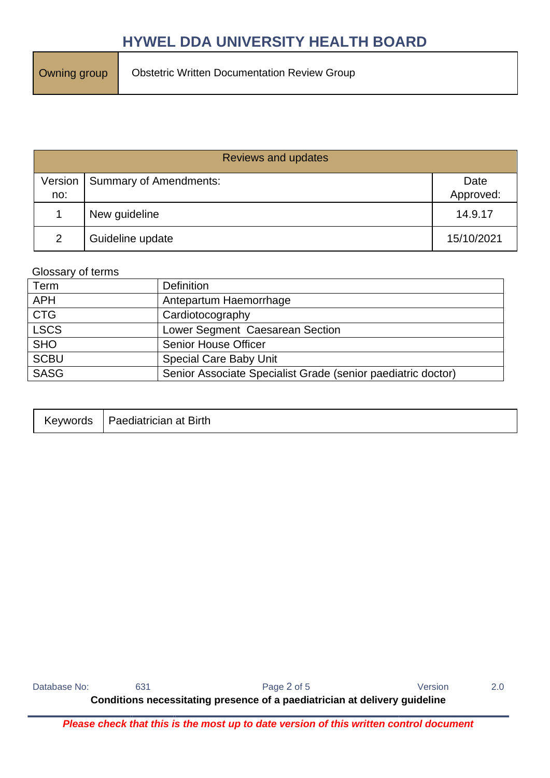| <b>Reviews and updates</b> |                        |            |  |  |
|----------------------------|------------------------|------------|--|--|
| Version                    | Summary of Amendments: | Date       |  |  |
| no:                        |                        | Approved:  |  |  |
|                            | New guideline          | 14.9.17    |  |  |
| 2                          | Guideline update       | 15/10/2021 |  |  |

#### Glossary of terms

| Term        | <b>Definition</b>                                            |
|-------------|--------------------------------------------------------------|
| <b>APH</b>  | Antepartum Haemorrhage                                       |
| <b>CTG</b>  | Cardiotocography                                             |
| <b>LSCS</b> | Lower Segment Caesarean Section                              |
| <b>SHO</b>  | Senior House Officer                                         |
| <b>SCBU</b> | <b>Special Care Baby Unit</b>                                |
| <b>SASG</b> | Senior Associate Specialist Grade (senior paediatric doctor) |

| Keywords | Paediatrician at Birth |
|----------|------------------------|
|----------|------------------------|

Database No: 631 631 Page 2 of 5 Version 2.0

**Conditions necessitating presence of a paediatrician at delivery guideline**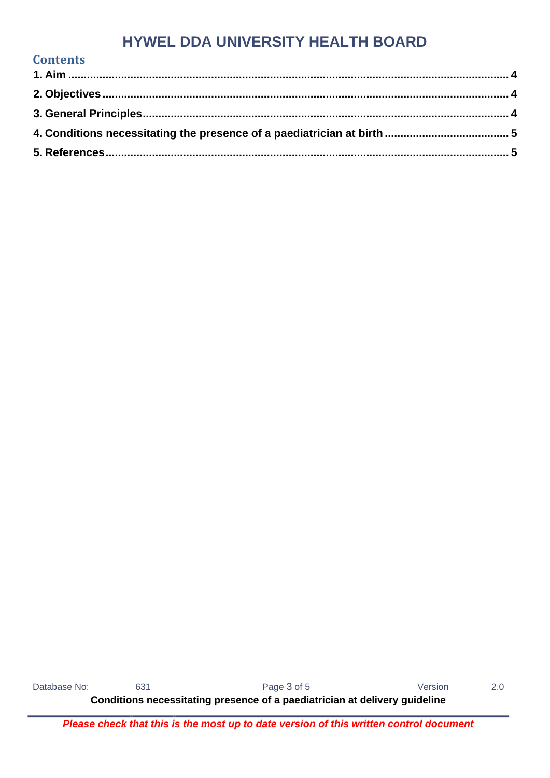Database No: 631 631 Page 3 of 5 Version 2.0

**Contents** 

**Conditions necessitating presence of a paediatrician at delivery guideline**

*Please check that this is the most up to date version of this written control document*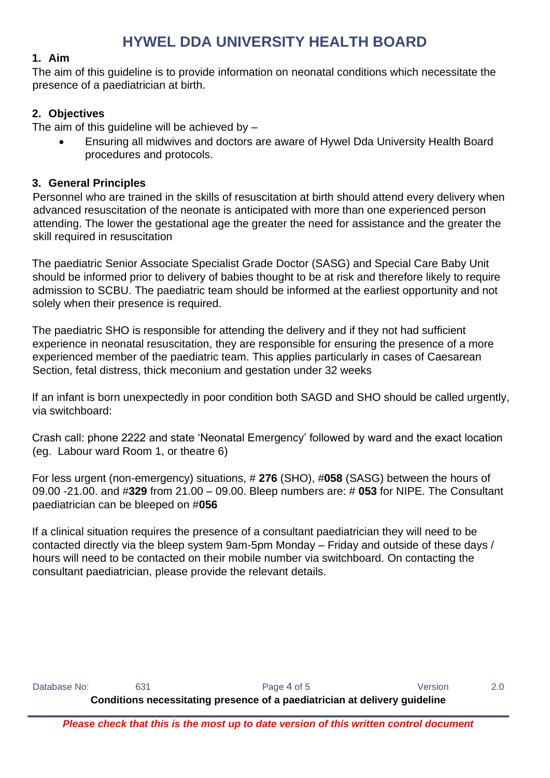#### <span id="page-3-0"></span>**1. Aim**

The aim of this guideline is to provide information on neonatal conditions which necessitate the presence of a paediatrician at birth.

## <span id="page-3-1"></span>**2. Objectives**

The aim of this quideline will be achieved by  $-$ 

• Ensuring all midwives and doctors are aware of Hywel Dda University Health Board procedures and protocols.

## <span id="page-3-2"></span>**3. General Principles**

Personnel who are trained in the skills of resuscitation at birth should attend every delivery when advanced resuscitation of the neonate is anticipated with more than one experienced person attending. The lower the gestational age the greater the need for assistance and the greater the skill required in resuscitation

The paediatric Senior Associate Specialist Grade Doctor (SASG) and Special Care Baby Unit should be informed prior to delivery of babies thought to be at risk and therefore likely to require admission to SCBU. The paediatric team should be informed at the earliest opportunity and not solely when their presence is required.

The paediatric SHO is responsible for attending the delivery and if they not had sufficient experience in neonatal resuscitation, they are responsible for ensuring the presence of a more experienced member of the paediatric team. This applies particularly in cases of Caesarean Section, fetal distress, thick meconium and gestation under 32 weeks

If an infant is born unexpectedly in poor condition both SAGD and SHO should be called urgently, via switchboard:

Crash call: phone 2222 and state 'Neonatal Emergency' followed by ward and the exact location (eg. Labour ward Room 1, or theatre 6)

For less urgent (non-emergency) situations, # **276** (SHO), #**058** (SASG) between the hours of 09.00 -21.00. and #**329** from 21.00 – 09.00. Bleep numbers are: # **053** for NIPE. The Consultant paediatrician can be bleeped on #**056**

If a clinical situation requires the presence of a consultant paediatrician they will need to be contacted directly via the bleep system 9am-5pm Monday – Friday and outside of these days / hours will need to be contacted on their mobile number via switchboard. On contacting the consultant paediatrician, please provide the relevant details.